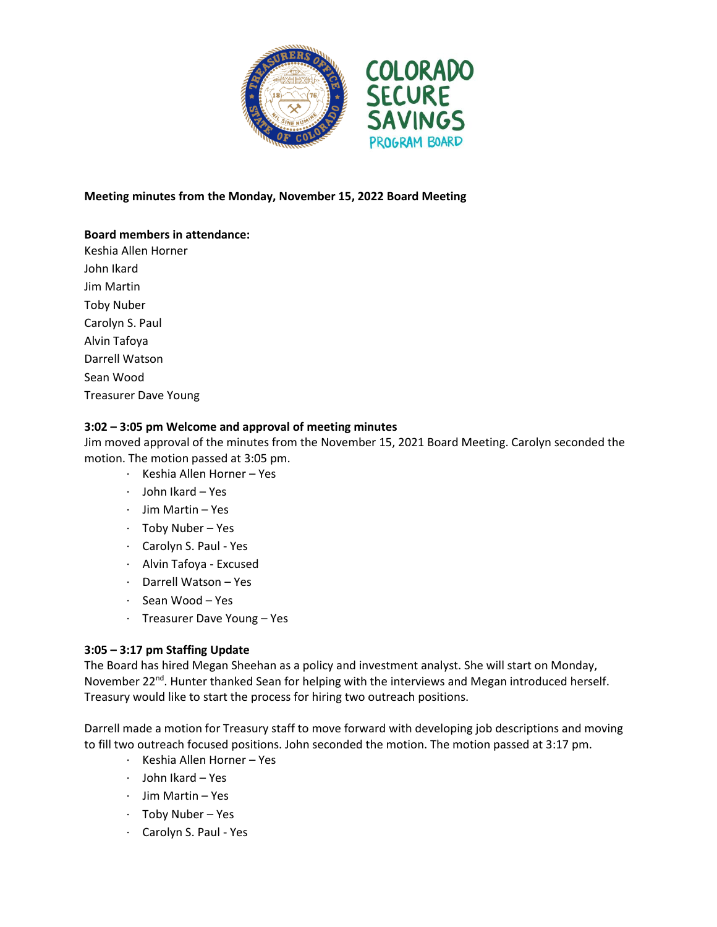

## **Meeting minutes from the Monday, November 15, 2022 Board Meeting**

# **Board members in attendance:**

Keshia Allen Horner John Ikard Jim Martin Toby Nuber Carolyn S. Paul Alvin Tafoya Darrell Watson Sean Wood Treasurer Dave Young

#### **3:02 – 3:05 pm Welcome and approval of meeting minutes**

Jim moved approval of the minutes from the November 15, 2021 Board Meeting. Carolyn seconded the motion. The motion passed at 3:05 pm.

- · Keshia Allen Horner Yes
- · John Ikard Yes
- · Jim Martin Yes
- · Toby Nuber Yes
- · Carolyn S. Paul Yes
- · Alvin Tafoya Excused
- · Darrell Watson Yes
- · Sean Wood Yes
- · Treasurer Dave Young Yes

## **3:05 – 3:17 pm Staffing Update**

The Board has hired Megan Sheehan as a policy and investment analyst. She will start on Monday, November 22<sup>nd</sup>. Hunter thanked Sean for helping with the interviews and Megan introduced herself. Treasury would like to start the process for hiring two outreach positions.

Darrell made a motion for Treasury staff to move forward with developing job descriptions and moving to fill two outreach focused positions. John seconded the motion. The motion passed at 3:17 pm.

- · Keshia Allen Horner Yes
- · John Ikard Yes
- · Jim Martin Yes
- · Toby Nuber Yes
- · Carolyn S. Paul Yes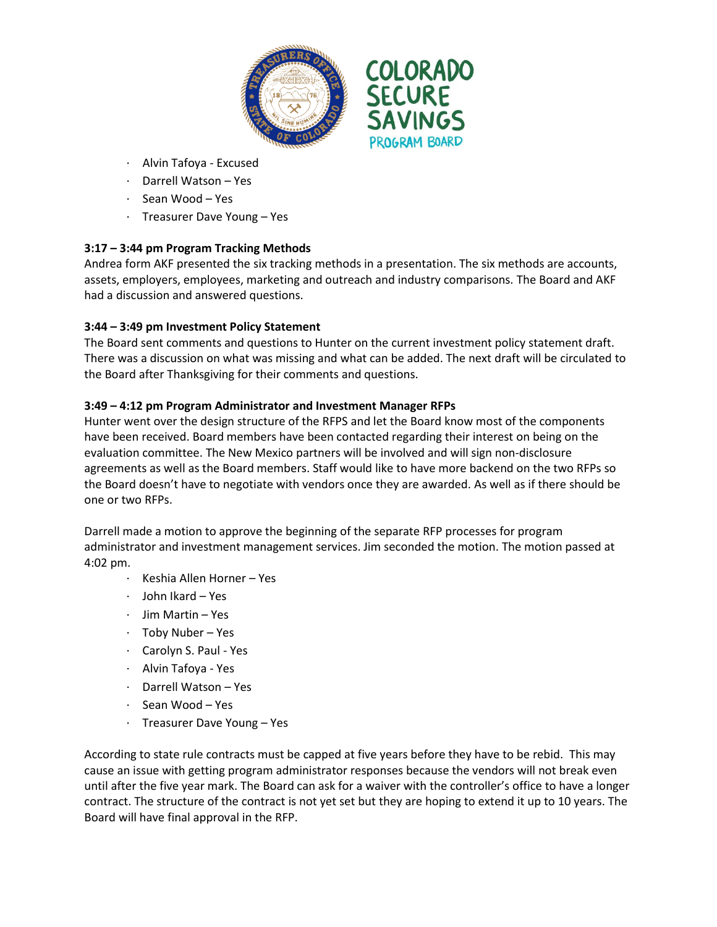

- · Alvin Tafoya Excused
- Darrell Watson Yes
- · Sean Wood Yes
- · Treasurer Dave Young Yes

# **3:17 – 3:44 pm Program Tracking Methods**

Andrea form AKF presented the six tracking methods in a presentation. The six methods are accounts, assets, employers, employees, marketing and outreach and industry comparisons. The Board and AKF had a discussion and answered questions.

## **3:44 – 3:49 pm Investment Policy Statement**

The Board sent comments and questions to Hunter on the current investment policy statement draft. There was a discussion on what was missing and what can be added. The next draft will be circulated to the Board after Thanksgiving for their comments and questions.

## **3:49 – 4:12 pm Program Administrator and Investment Manager RFPs**

Hunter went over the design structure of the RFPS and let the Board know most of the components have been received. Board members have been contacted regarding their interest on being on the evaluation committee. The New Mexico partners will be involved and will sign non-disclosure agreements as well as the Board members. Staff would like to have more backend on the two RFPs so the Board doesn't have to negotiate with vendors once they are awarded. As well as if there should be one or two RFPs.

Darrell made a motion to approve the beginning of the separate RFP processes for program administrator and investment management services. Jim seconded the motion. The motion passed at 4:02 pm.

- · Keshia Allen Horner Yes
- · John Ikard Yes
- · Jim Martin Yes
- · Toby Nuber Yes
- · Carolyn S. Paul Yes
- · Alvin Tafoya Yes
- · Darrell Watson Yes
- · Sean Wood Yes
- · Treasurer Dave Young Yes

According to state rule contracts must be capped at five years before they have to be rebid. This may cause an issue with getting program administrator responses because the vendors will not break even until after the five year mark. The Board can ask for a waiver with the controller's office to have a longer contract. The structure of the contract is not yet set but they are hoping to extend it up to 10 years. The Board will have final approval in the RFP.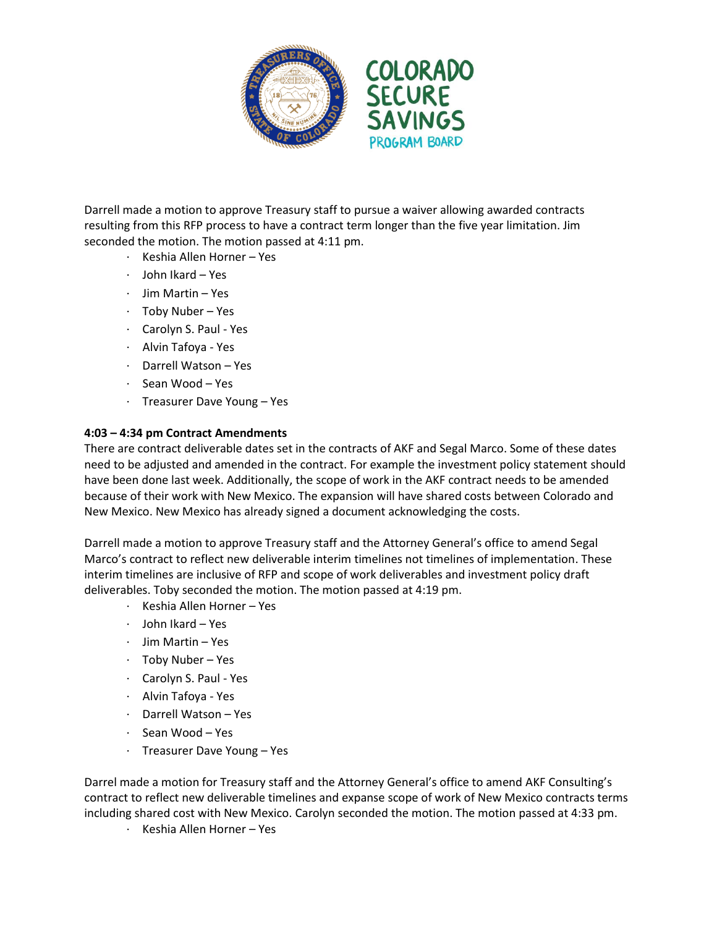

Darrell made a motion to approve Treasury staff to pursue a waiver allowing awarded contracts resulting from this RFP process to have a contract term longer than the five year limitation. Jim seconded the motion. The motion passed at 4:11 pm.

- · Keshia Allen Horner Yes
- · John Ikard Yes
- · Jim Martin Yes
- · Toby Nuber Yes
- · Carolyn S. Paul Yes
- · Alvin Tafoya Yes
- Darrell Watson Yes
- · Sean Wood Yes
- · Treasurer Dave Young Yes

#### **4:03 – 4:34 pm Contract Amendments**

There are contract deliverable dates set in the contracts of AKF and Segal Marco. Some of these dates need to be adjusted and amended in the contract. For example the investment policy statement should have been done last week. Additionally, the scope of work in the AKF contract needs to be amended because of their work with New Mexico. The expansion will have shared costs between Colorado and New Mexico. New Mexico has already signed a document acknowledging the costs.

Darrell made a motion to approve Treasury staff and the Attorney General's office to amend Segal Marco's contract to reflect new deliverable interim timelines not timelines of implementation. These interim timelines are inclusive of RFP and scope of work deliverables and investment policy draft deliverables. Toby seconded the motion. The motion passed at 4:19 pm.

- · Keshia Allen Horner Yes
- · John Ikard Yes
- · Jim Martin Yes
- · Toby Nuber Yes
- · Carolyn S. Paul Yes
- · Alvin Tafoya Yes
- · Darrell Watson Yes
- · Sean Wood Yes
- · Treasurer Dave Young Yes

Darrel made a motion for Treasury staff and the Attorney General's office to amend AKF Consulting's contract to reflect new deliverable timelines and expanse scope of work of New Mexico contracts terms including shared cost with New Mexico. Carolyn seconded the motion. The motion passed at 4:33 pm.

· Keshia Allen Horner – Yes